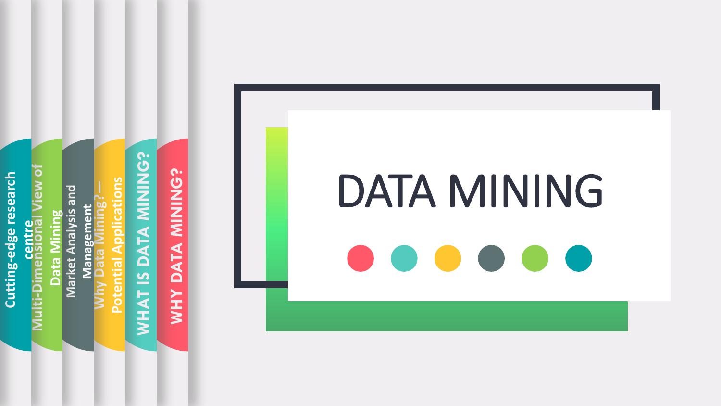WHAT IS DATA MINING? **WHAT IS DATA MINING? -Dimensional View of -edge research Itting-edge research Applications Potential Applications Market Analysis and Data Mining<br>Market Analysis and Why Data Mining? Management** Management **centre** Potential **Cutting** im<br>Öl **Multi**

**WHY DATA MINING?**

WHY DATA MINING?

DATA MINING **Contract**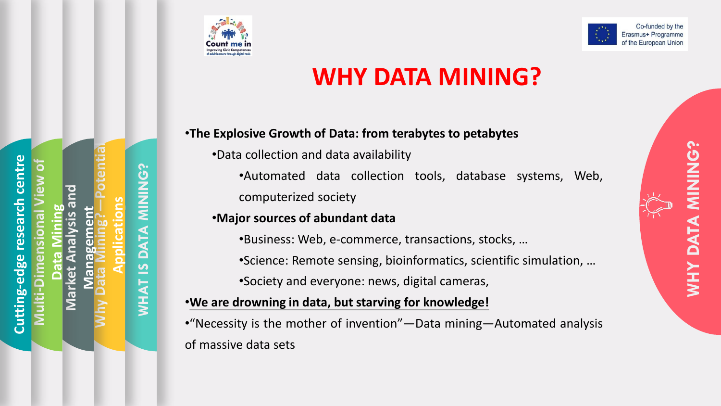



## **WHY DATA MINING?**

**—Potential -edge research centre -Dimensional View of NG? WHAT IS DATA MINING?** ပ္ပ **Market Analysis and**   $\bar{z}$ **Applications** research **Data Mining Management Why Data Mining? DATA** edge  $\overline{\mathbf{z}}$ **WHAT Cutting Multi**

•**The Explosive Growth of Data: from terabytes to petabytes**

- •Data collection and data availability
	- •Automated data collection tools, database systems, Web, computerized society

### •**Major sources of abundant data**

•Business: Web, e-commerce, transactions, stocks, …

- •Science: Remote sensing, bioinformatics, scientific simulation, …
- •Society and everyone: news, digital cameras,

### •**We are drowning in data, but starving for knowledge!**

•"Necessity is the mother of invention"—Data mining—Automated analysis of massive data sets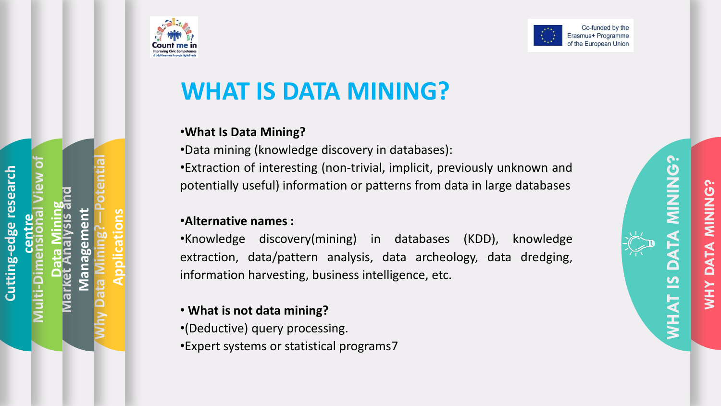

**Why Data Mining?**

**Market Analysis and** 

**Data Mining**

**Multi-Dimensional View of** 

**centre**

**Cutting-edge research** 

**RUSSING** 

**Management**

**Applications**

**—Potential** 



## **WHAT IS DATA MINING?**

### •**What Is Data Mining?**

•Data mining (knowledge discovery in databases) : •Extraction of interesting (non -trivial, implicit, previously unknown and potentially useful) information or patterns from data in large databases

### •**Alternative names :**

•Knowledge discovery(mining) in databases (KDD), knowledge extraction, data/pattern analysis, data archeology, data dredging, information harvesting, business intelligence, etc .

### • **What is not data mining?**

•(Deductive) query processing .

•Expert systems or statistical programs 7



**WHY DATA MINING?**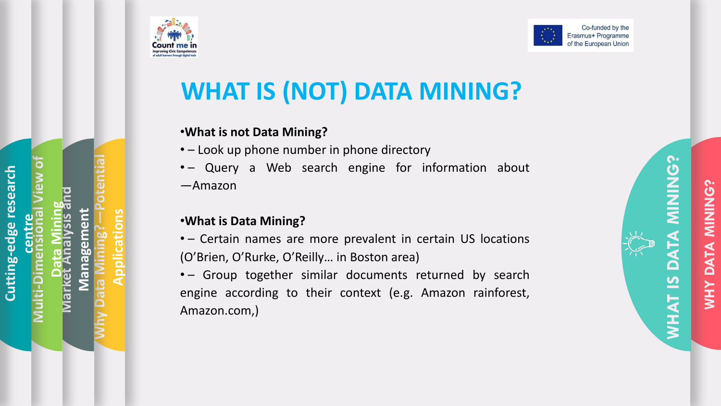

**Why Data Mining?**

**Market Analysis and** 

**Data Mining**

**Multi**

**-Dimensional View of** 

**centre**

**Cutting**

**RUSSING** 

**-edge research** 

**Management**

**Applications**

**—Potential** 

## **WHAT IS (NOT) DATA MINING?**

### •**What is not Data Mining?**

- – Look up phone number in phone directory
- – Query a Web search engine for information about ―Amazon

### •**What is Data Mining?**

- – Certain names are more prevalent in certain US locations (O'Brien, O'Rurke, O'Reilly… in Boston area)
- – Group together similar documents returned by search engine according to their context (e.g. Amazon rainforest, Amazon.com,)

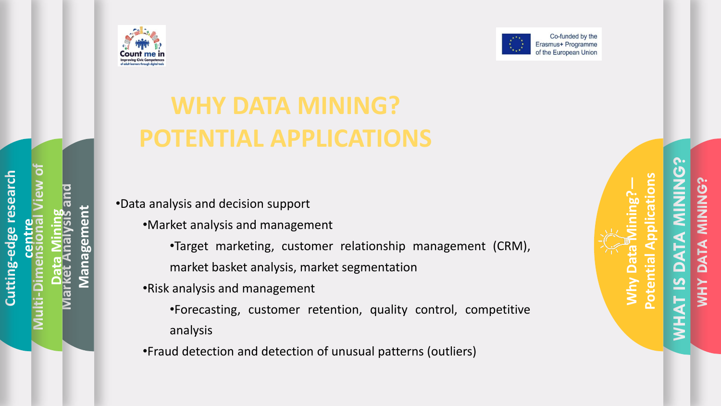



# **WHY DATA MINING? POTENTIAL APPLICATIONS**

•Data analysis and decision support

•Market analysis and management

•Target marketing, customer relationship management (CRM),

market basket analysis, market segmentation

•Risk analysis and management

•Forecasting, customer retention, quality control, competitive analysis

•Fraud detection and detection of unusual patterns (outliers)

C. **WHAT IS DATA MINING?** cations **Potential Applications Why Data Mining?— WHY DATA MINING?** <u>်</u> **ZINNING** ATA<br>ATA **A** Potential  $\mathbf \Omega$  $\overline{\mathbf{S}}$ Why **XHX WHAT**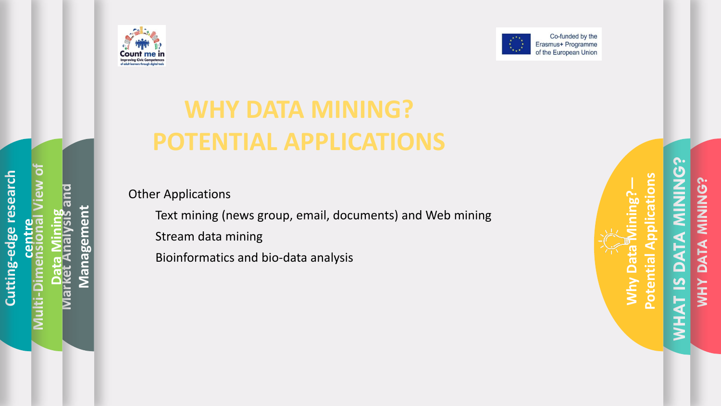



## **WHY DATA MINING? POTENTIAL APPLICATIONS**

Other Applications

Text mining (news group, email, documents) and Web mining Stream data mining

Bioinformatics and bio-data analysis

**MINING? WHAT IS DATA MINING? Potential Applications Potential Applications WHY DATA MINING? CONINING?** ng? **Why Data Mining?** DATA DATA WHAT<sub>IS</sub> **NHM** 

Why Da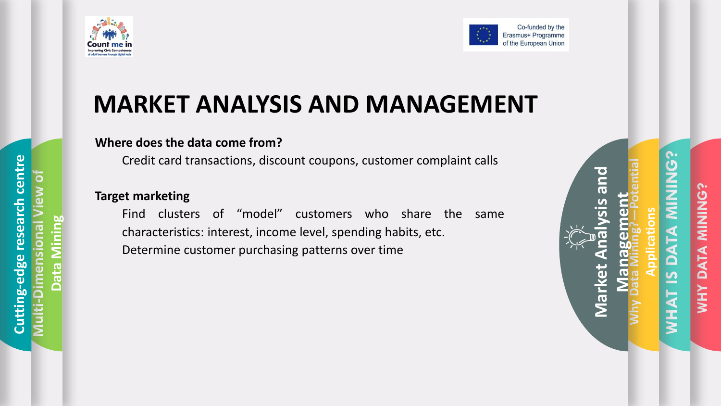



## **MARKET ANALYSIS AND MANAGEMENT**

### **Where does the data come from?**

Credit card transactions, discount coupons, customer complaint calls

### **Target marketing**

Find clusters of "model" customers who share the same characteristics: interest, income level, spending habits, etc. Determine customer purchasing patterns over time

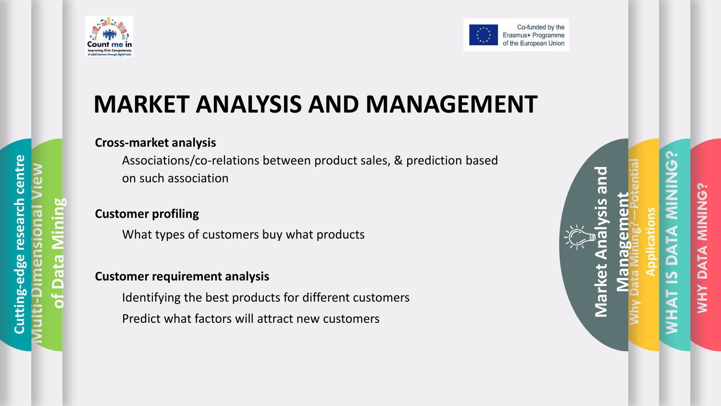



## **MARKET ANALYSIS AND MANAGEMENT**

### **Cross-market analysis**

Associations/co-relations between product sales, & prediction based on such association

### **Customer profiling**

What types of customers buy what products

### **Customer requirement analysis**

Identifying the best products for different customers Predict what factors will attract new customers

| Market Analysis and | <b>Management</b><br>Why Data Mining? – Potential<br><b>Applications</b> | <b>WHAT IS DATA MINING?</b> | WHY DATA MINING? |
|---------------------|--------------------------------------------------------------------------|-----------------------------|------------------|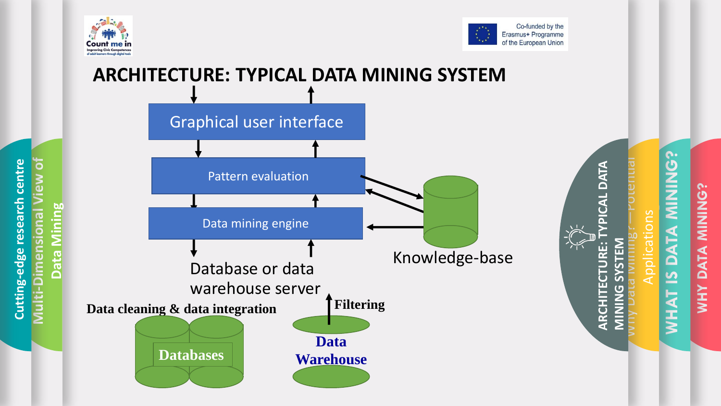

**Multi**

**-Dimensional View of** 

**Cutting-edge research centre**

Cutting-edge

research

centr

**Data Mining**



### **ARCHITECTURE: TYPICAL DATA MINING SYSTEM** Graphical user interface **ARCHITECTURE: TYPICAL DATA**  DATA Pattern evaluation Data mining engine **URE:** Knowledge -baseDatabase or data **ARCHITEC** warehouse server **Data cleaning & data integration Filtering**

**Data** 

**Warehouse**

**Databases**

**WHAT IS DATA MINING?**<br> **WHAT IS DATA MINING? WHY DATA MINING?** ONNIN **ATA**  $\overline{\mathbf{C}}$ **XHM** 

Why Data Mining?

**MINING SYSTEM**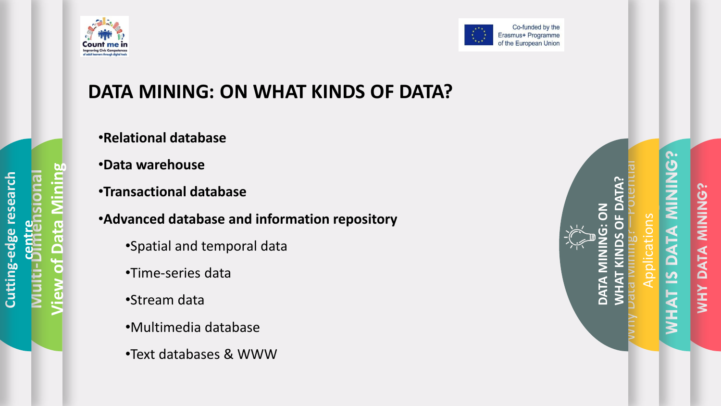



## **DATA MINING: ON WHAT KINDS OF DATA?**

**RUSSIAN AND LONGITUDE** 

•**Relational database**

•**Data warehouse**

•**Transactional database**

•**Advanced database and information repository**

- •Spatial and temporal data
- •Time-series data

•Stream data

- •Multimedia database
- •Text databases & WWW

**WHAT IS DATA MINING?**<br> **WHAT IS DATA MINING? WHAT KINDS OF DATA? DATA MINING: ON**  <u>გ</u> Why Data Mining? **DATA** 

**WHY DATA MINING?**

ATA

 $\blacksquare$ 

**XHM** 

**DNINE**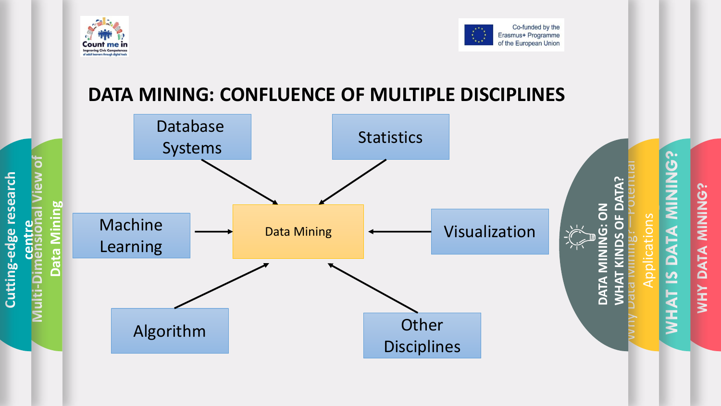

**Multi**

**Cutting**

**-edge research** 

**RUSSIAN AND LONGITUDE** 

**-Dimensional View of** 

**centre**

**Data Mining**



**WHY DATA MINING?**

### **DATA MINING: CONFLUENCE OF MULTIPLE DISCIPLINES**

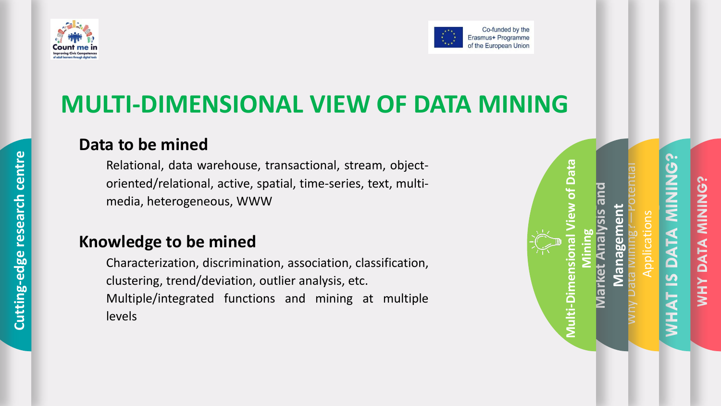



## **MULTI-DIMENSIONAL VIEW OF DATA MINING**

### **Data to be mined**

Relational, data warehouse, transactional, stream, objectoriented/relational, active, spatial, time-series, text, multimedia, heterogeneous, WWW

### **Knowledge to be mined**

Characterization, discrimination, association, classification, clustering, trend/deviation, outlier analysis, etc. Multiple/integrated functions and mining at multiple levels

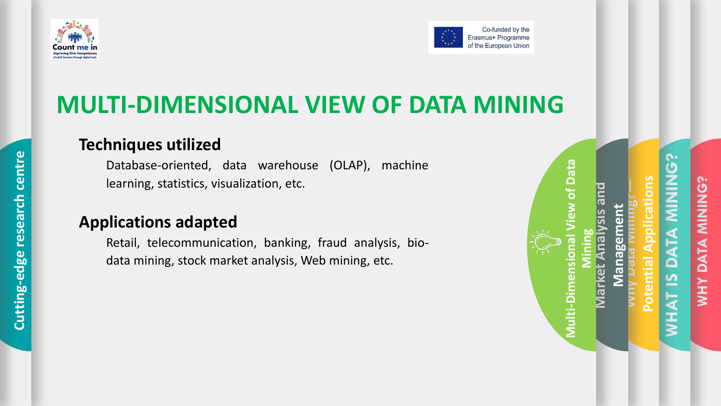



## **MULTI-DIMENSIONAL VIEW OF DATA MINING**

### **Techniques utilized**

Database-oriented, data warehouse (OLAP), machine learning, statistics, visualization, etc.

### **Applications adapted**

Retail, telecommunication, banking, fraud analysis, biodata mining, stock market analysis, Web mining, etc.

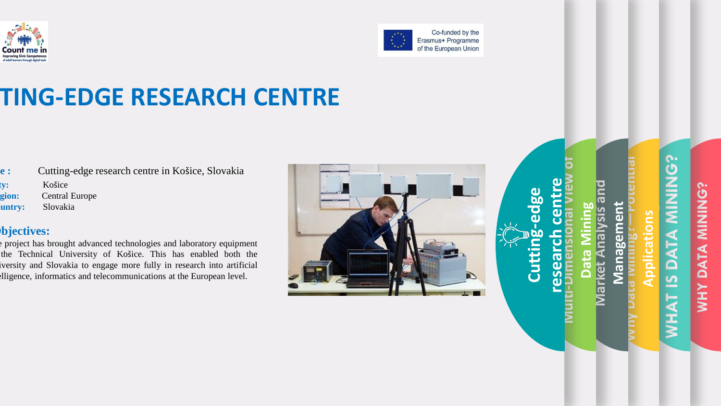



## **TING-EDGE RESEARCH CENTRE**

**e**: Cutting-edge research centre in Košice, Slovakia **City:** Košice **Region:** Central Europe untry: Slovakia

### **Objectives:**

e project has brought advanced technologies and laboratory equipment the Technical University of Košice. This has enabled both the iversity and Slovakia to engage more fully in research into artificial Illigence, informatics and telecommunications at the European level.



**WHY DATA MINING?** ONININ DATA **AHM** 

**WHAT IS DATA MINING?**

 $\Box$ S

**NHAT** 

<u>်</u>

**NHNHNHNHN** 

**Why Data Mining?**

**Market Analysis and** 

**Data Mining**

**Multi**

**-Dimensional View of** 

**research centre**

**Cutting**

**-edge** 

**Management**

**Management** 

**Applications**

**—Potential**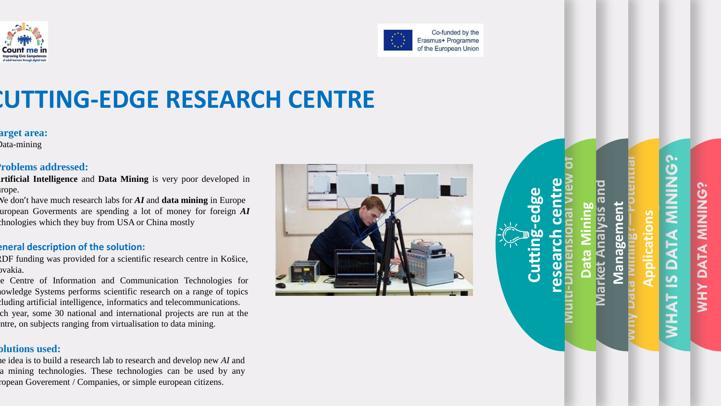



## **CUTTING -EDGE RESEARCH CENTRE**

**Target area:**

Data -mining

### •**Problems addressed :**

- **Artificial Intelligence** and **Data Mining** is very poor developed in rope.
- We don ' t have much research labs for *AI* and **data mining** in Europe European Goverments are spending a lot of money for foreign *AI* theologies which they buy from USA or China mostly

#### **General description of the solution :**

- ERDF funding was provided for a scientific research centre in Ko šice, ovakia.
- e Centre of Information and Communication Technologies for lowledge Systems performs scientific research on a range of topics cluding artificial intelligence, informatics and telecommunications. ch year, some 30 national and international projects are run at the ntre, on subjects ranging from virtualisation to data mining.

#### **Solutions used :**

The idea is to build a research lab to research and develop new *AI* and a mining technologies. These technologies can be used by any ropean Goverement / Companies, or simple european citizens.



## **WHAT IS DATA MINING? WHY DATA MINING? NHNNN** ATA  $\blacksquare$ **AHM**

**Why Data Mining?**

**Market Analysis and** 

**rket Analysis** 

**Multi-Dimensional View of** 

**research centre**

**Cutting**

**-edge** 

**Management**

**Managemen** 

**Applications**

U.

 $\Box$ 

S

**NHAT** 

**—Potential**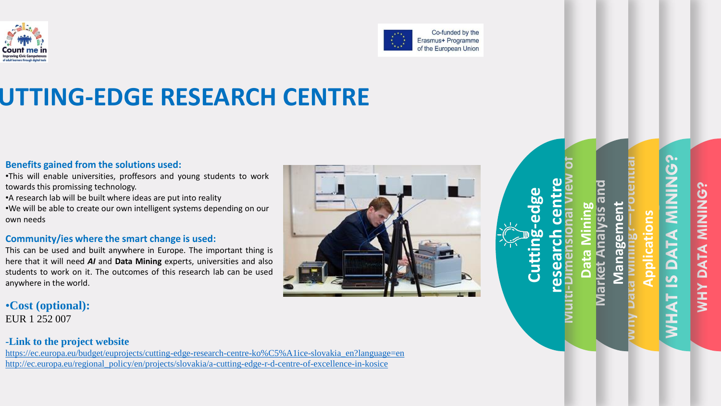



## UTTING-EDGE RESEARCH CENTRE

#### **Benefits gained from the solutions used :**

- •This will enable universities, proffesors and young students to work towards this promissing technology .
- A research lab will be built where ideas are put into reality
- •We will be able to create our own intelligent systems depending on our own needs

#### **Community/ies where the smart change is used :**

This can be used and built anywhere in Europe . The important thing is here that it will need *AI* and **Data Mining** experts, universities and also students to work on it . The outcomes of this research lab can be used anywhere in the world .

•**Cost (optional):** EUR 1 252 007

#### **-Link to the project website**

[https://ec.europa.eu/budget/euprojects/cutting](https://ec.europa.eu/budget/euprojects/cutting-edge-research-centre-ko%C5%A1ice-slovakia_en?language=en)-edge-research-centre-ko%C5%A1ice-slovakia\_en?language=en [http://ec.europa.eu/regional\\_policy/en/projects/slovakia/a](http://ec.europa.eu/regional_policy/en/projects/slovakia/a-cutting-edge-r-d-centre-of-excellence-in-kosice)-cutting-edge-r-d-centre-of-excellence-in-kosice



**WHAT IS DATA MINING? WHY DATA MINING? NHNHNHNHN** ATA **XHX** 

**Why Data Mining?**

**Market Analysis and** 

<u>ပ</u>ါ

**Data Mining**

**Multi-Dimensional View of** 

**research centre**

**Cutting**

**-edge** 

**Management**

**Managem** 

**SP** 

**Applications**

**—Potential**